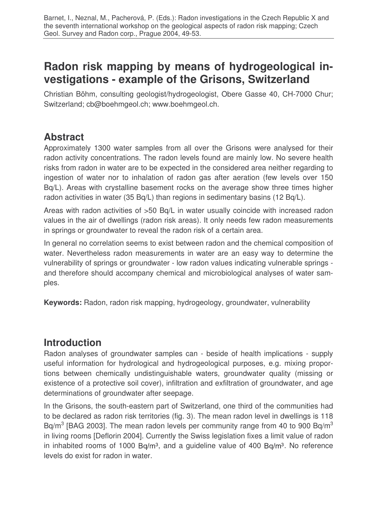# **Radon risk mapping by means of hydrogeological investigations - example of the Grisons, Switzerland**

Christian Böhm, consulting geologist/hydrogeologist, Obere Gasse 40, CH-7000 Chur; Switzerland; cb@boehmgeol.ch; www.boehmgeol.ch.

# **Abstract**

Approximately 1300 water samples from all over the Grisons were analysed for their radon activity concentrations. The radon levels found are mainly low. No severe health risks from radon in water are to be expected in the considered area neither regarding to ingestion of water nor to inhalation of radon gas after aeration (few levels over 150 Bq/L). Areas with crystalline basement rocks on the average show three times higher radon activities in water (35 Bq/L) than regions in sedimentary basins (12 Bq/L).

Areas with radon activities of >50 Bq/L in water usually coincide with increased radon values in the air of dwellings (radon risk areas). It only needs few radon measurements in springs or groundwater to reveal the radon risk of a certain area.

In general no correlation seems to exist between radon and the chemical composition of water. Nevertheless radon measurements in water are an easy way to determine the vulnerability of springs or groundwater - low radon values indicating vulnerable springs and therefore should accompany chemical and microbiological analyses of water samples.

**Keywords:** Radon, radon risk mapping, hydrogeology, groundwater, vulnerability

# **Introduction**

Radon analyses of groundwater samples can - beside of health implications - supply useful information for hydrological and hydrogeological purposes, e.g. mixing proportions between chemically undistinguishable waters, groundwater quality (missing or existence of a protective soil cover), infiltration and exfiltration of groundwater, and age determinations of groundwater after seepage.

In the Grisons, the south-eastern part of Switzerland, one third of the communities had to be declared as radon risk territories (fig. 3). The mean radon level in dwellings is 118 Bq/m<sup>3</sup> [BAG 2003]. The mean radon levels per community range from 40 to 900 Bq/m<sup>3</sup> in living rooms [Deflorin 2004]. Currently the Swiss legislation fixes a limit value of radon in inhabited rooms of 1000 Bq/m<sup>3</sup>, and a guideline value of 400 Bq/m<sup>3</sup>. No reference levels do exist for radon in water.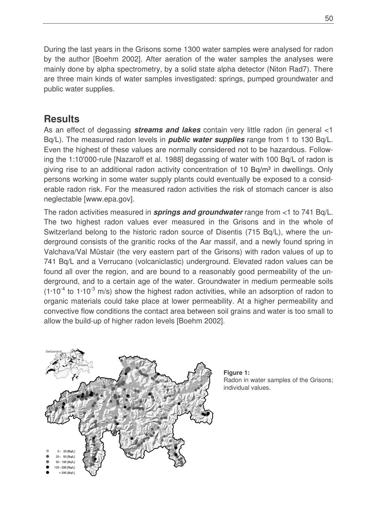During the last years in the Grisons some 1300 water samples were analysed for radon by the author [Boehm 2002]. After aeration of the water samples the analyses were mainly done by alpha spectrometry, by a solid state alpha detector (Niton Rad7). There are three main kinds of water samples investigated: springs, pumped groundwater and public water supplies.

### **Results**

As an effect of degassing *streams and lakes* contain very little radon (in general <1 Bq/L). The measured radon levels in *public water supplies* range from 1 to 130 Bq/L. Even the highest of these values are normally considered not to be hazardous. Following the 1:10'000-rule [Nazaroff et al. 1988] degassing of water with 100 Bq/L of radon is giving rise to an additional radon activity concentration of 10 Bq/m<sup>3</sup> in dwellings. Only persons working in some water supply plants could eventually be exposed to a considerable radon risk. For the measured radon activities the risk of stomach cancer is also neglectable [www.epa.gov].

The radon activities measured in *springs and groundwater* range from <1 to 741 Bq/L. The two highest radon values ever measured in the Grisons and in the whole of Switzerland belong to the historic radon source of Disentis (715 Bq/L), where the underground consists of the granitic rocks of the Aar massif, and a newly found spring in Valchava/Val Müstair (the very eastern part of the Grisons) with radon values of up to 741 Bq/L and a Verrucano (volcaniclastic) underground. Elevated radon values can be found all over the region, and are bound to a reasonably good permeability of the underground, and to a certain age of the water. Groundwater in medium permeable soils  $(1*10<sup>-4</sup>$  to  $1*10<sup>-3</sup>$  m/s) show the highest radon activities, while an adsorption of radon to organic materials could take place at lower permeability. At a higher permeability and convective flow conditions the contact area between soil grains and water is too small to allow the build-up of higher radon levels [Boehm 2002].



**Figure 1:** Radon in water samples of the Grisons; individual values.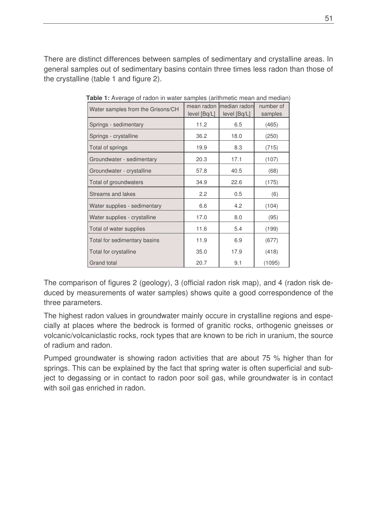There are distinct differences between samples of sedimentary and crystalline areas. In general samples out of sedimentary basins contain three times less radon than those of the crystalline (table 1 and figure 2).

| <b>Table 1:</b> Avoluge of Tagon in Water Samples (antimiens mean and mealur<br>Water samples from the Grisons/CH | mean radon<br>level [Bq/L] | median radon<br>level [Bq/L] | number of<br>samples |
|-------------------------------------------------------------------------------------------------------------------|----------------------------|------------------------------|----------------------|
| Springs - sedimentary                                                                                             | 11.2                       | 6.5                          | (465)                |
| Springs - crystalline                                                                                             | 36.2                       | 18.0                         | (250)                |
| Total of springs                                                                                                  | 19.9                       | 8.3                          | (715)                |
| Groundwater - sedimentary                                                                                         | 20.3                       | 17.1                         | (107)                |
| Groundwater - crystalline                                                                                         | 57.8                       | 40.5                         | (68)                 |
| Total of groundwaters                                                                                             | 34.9                       | 22.6                         | (175)                |
| <b>Streams and lakes</b>                                                                                          | 2.2                        | 0.5                          | (6)                  |
| Water supplies - sedimentary                                                                                      | 6.6                        | 4.2                          | (104)                |
| Water supplies - crystalline                                                                                      | 17.0                       | 8.0                          | (95)                 |
| Total of water supplies                                                                                           | 11.6                       | 5.4                          | (199)                |
| Total for sedimentary basins                                                                                      | 11.9                       | 6.9                          | (677)                |
| Total for crystalline                                                                                             | 35.0                       | 17.9                         | (418)                |
| Grand total                                                                                                       | 20.7                       | 9.1                          | (1095)               |

**Table 1:** Average of radon in water samples (arithmetic mean and median)

The comparison of figures 2 (geology), 3 (official radon risk map), and 4 (radon risk deduced by measurements of water samples) shows quite a good correspondence of the three parameters.

The highest radon values in groundwater mainly occure in crystalline regions and especially at places where the bedrock is formed of granitic rocks, orthogenic gneisses or volcanic/volcaniclastic rocks, rock types that are known to be rich in uranium, the source of radium and radon.

Pumped groundwater is showing radon activities that are about 75 % higher than for springs. This can be explained by the fact that spring water is often superficial and subject to degassing or in contact to radon poor soil gas, while groundwater is in contact with soil gas enriched in radon.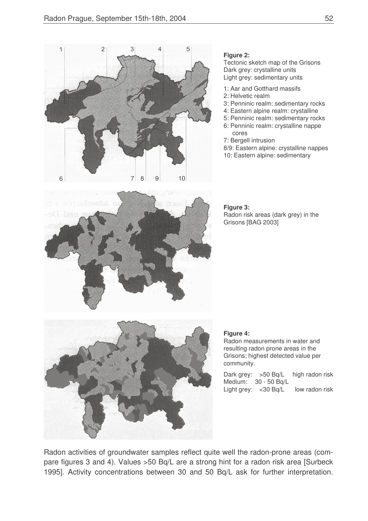

#### **Figure 2:**

Tectonic sketch map of the Grisons Dark grey: crystalline units Light grey: sedimentary units

- 1: Aar and Gotthard massifs
- 2: Helvetic realm
- 3: Penninic realm: sedimentary rocks
- 4: Eastern alpine realm: crystalline
- 5: Penninic realm: sedimentary rocks 6: Penninic realm: crystalline nappe cores
- 7: Bergell intrusion
- 8/9: Eastern alpine: crystalline nappes
- 10: Eastern alpine: sedimentary



#### **Figure 3:** Radon risk areas (dark grey) in the Grisons [BAG 2003]



#### **Figure 4:**

Radon measurements in water and resulting radon prone areas in the Grisons; highest detected value per community.

Dark grey: >50 Bq/L high radon risk Medium: 30 - 50 Bq/L Light grey: < 30 Bq/L low radon risk

Radon activities of groundwater samples reflect quite well the radon-prone areas (compare figures 3 and 4). Values >50 Bq/L are a strong hint for a radon risk area [Surbeck 1995]. Activity concentrations between 30 and 50 Bq/L ask for further interpretation.